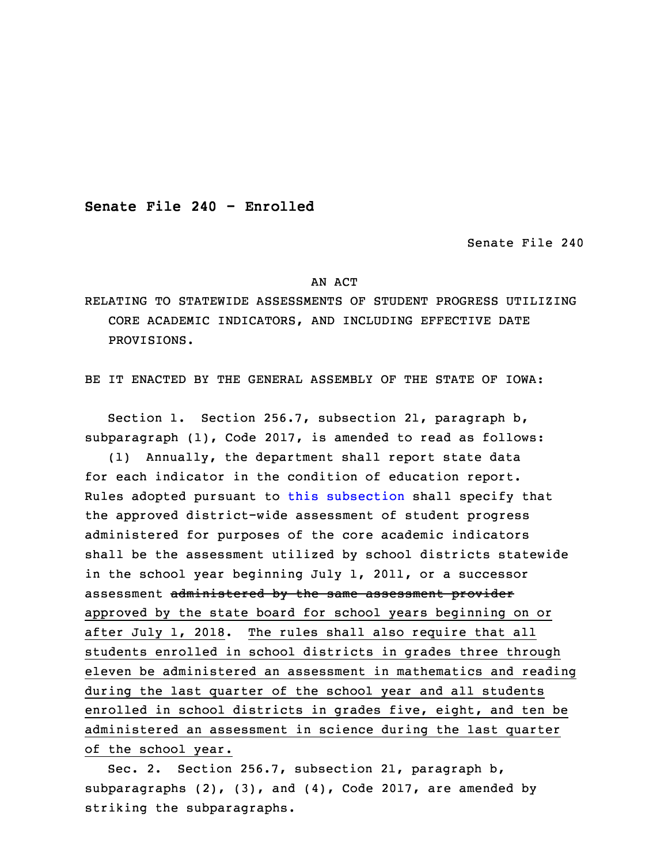**Senate File 240 - Enrolled**

Senate File 240

## AN ACT

RELATING TO STATEWIDE ASSESSMENTS OF STUDENT PROGRESS UTILIZING CORE ACADEMIC INDICATORS, AND INCLUDING EFFECTIVE DATE PROVISIONS.

BE IT ENACTED BY THE GENERAL ASSEMBLY OF THE STATE OF IOWA:

 Section 1. Section 256.7, subsection 21, paragraph b, subparagraph (1), Code 2017, is amended to read as follows: (1) Annually, the department shall report state data for each indicator in the condition of education report. Rules adopted pursuant to this [subsection](https://www.legis.iowa.gov/docs/code/2017/256.7.pdf) shall specify that the approved district-wide assessment of student progress administered for purposes of the core academic indicators shall be the assessment utilized by school districts statewide in the school year beginning July 1, 2011, or a successor assessment administered by the same assessment provider approved by the state board for school years beginning on or after July 1, 2018. The rules shall also require that all students enrolled in school districts in grades three through eleven be administered an assessment in mathematics and reading during the last quarter of the school year and all students enrolled in school districts in grades five, eight, and ten be administered an assessment in science during the last quarter of the school year.

Sec. 2. Section 256.7, subsection 21, paragraph b, subparagraphs  $(2)$ ,  $(3)$ , and  $(4)$ , Code 2017, are amended by striking the subparagraphs.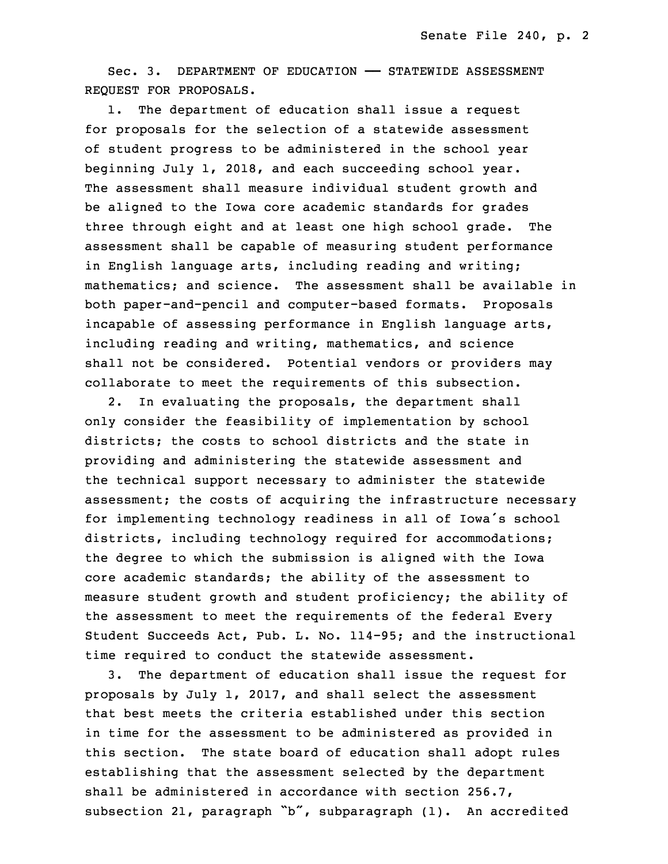Sec. 3. DEPARTMENT OF EDUCATION —— STATEWIDE ASSESSMENT REQUEST FOR PROPOSALS.

 1. The department of education shall issue <sup>a</sup> request for proposals for the selection of a statewide assessment of student progress to be administered in the school year beginning July  $1$ , 2018, and each succeeding school year. The assessment shall measure individual student growth and be aligned to the Iowa core academic standards for grades three through eight and at least one high school grade. The assessment shall be capable of measuring student performance in English language arts, including reading and writing; mathematics; and science. The assessment shall be available in both paper-and-pencil and computer-based formats. Proposals incapable of assessing performance in English language arts, including reading and writing, mathematics, and science shall not be considered. Potential vendors or providers may collaborate to meet the requirements of this subsection.

2. In evaluating the proposals, the department shall only consider the feasibility of implementation by school districts; the costs to school districts and the state in providing and administering the statewide assessment and the technical support necessary to administer the statewide assessment; the costs of acquiring the infrastructure necessary for implementing technology readiness in all of Iowa's school districts, including technology required for accommodations; the degree to which the submission is aligned with the Iowa core academic standards; the ability of the assessment to measure student growth and student proficiency; the ability of the assessment to meet the requirements of the federal Every Student Succeeds Act, Pub. L. No. 114-95; and the instructional time required to conduct the statewide assessment.

53 3. The department of education shall issue the request for proposals by July  $1$ , 2017, and shall select the assessment that best meets the criteria established under this section in time for the assessment to be administered as provided in this section. The state board of education shall adopt rules establishing that the assessment selected by the department shall be administered in accordance with section  $256.7$ , subsection 21, paragraph "b", subparagraph (1). An accredited